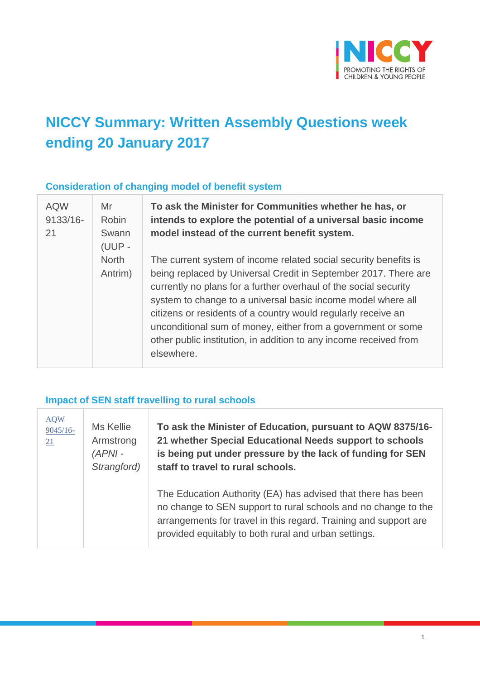

# **NICCY Summary: Written Assembly Questions week ending 20 January 2017**

#### **Consideration of changing model of benefit system**

 $\overline{1}$ 

| <b>AQW</b><br>$9133/16 -$ | Mr<br><b>Robin</b>      | To ask the Minister for Communities whether he has, or<br>intends to explore the potential of a universal basic income                                                                                                                                                                                                                                                                                                                                                                      |
|---------------------------|-------------------------|---------------------------------------------------------------------------------------------------------------------------------------------------------------------------------------------------------------------------------------------------------------------------------------------------------------------------------------------------------------------------------------------------------------------------------------------------------------------------------------------|
| 21                        | Swann<br>$(UUP -$       | model instead of the current benefit system.                                                                                                                                                                                                                                                                                                                                                                                                                                                |
|                           | <b>North</b><br>Antrim) | The current system of income related social security benefits is<br>being replaced by Universal Credit in September 2017. There are<br>currently no plans for a further overhaul of the social security<br>system to change to a universal basic income model where all<br>citizens or residents of a country would regularly receive an<br>unconditional sum of money, either from a government or some<br>other public institution, in addition to any income received from<br>elsewhere. |

#### **Impact of SEN staff travelling to rural schools**

| <b>AQW</b><br>$9045/16-$<br>21 | Ms Kellie<br>Armstrong<br>$(APNI -$<br>Strangford) | To ask the Minister of Education, pursuant to AQW 8375/16-<br>21 whether Special Educational Needs support to schools<br>is being put under pressure by the lack of funding for SEN<br>staff to travel to rural schools.                                   |
|--------------------------------|----------------------------------------------------|------------------------------------------------------------------------------------------------------------------------------------------------------------------------------------------------------------------------------------------------------------|
|                                |                                                    | The Education Authority (EA) has advised that there has been<br>no change to SEN support to rural schools and no change to the<br>arrangements for travel in this regard. Training and support are<br>provided equitably to both rural and urban settings. |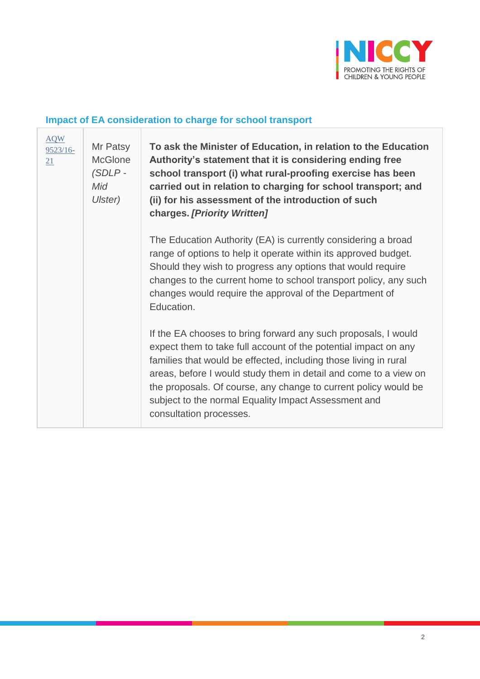

# **Impact of EA consideration to charge for school transport**

| <b>AQW</b><br>9523/16-<br>21 | Mr Patsy<br><b>McGlone</b><br>$(SDLP -$<br>Mid<br>Ulster) | To ask the Minister of Education, in relation to the Education<br>Authority's statement that it is considering ending free<br>school transport (i) what rural-proofing exercise has been<br>carried out in relation to charging for school transport; and<br>(ii) for his assessment of the introduction of such<br>charges. [Priority Written]                                                                                 |
|------------------------------|-----------------------------------------------------------|---------------------------------------------------------------------------------------------------------------------------------------------------------------------------------------------------------------------------------------------------------------------------------------------------------------------------------------------------------------------------------------------------------------------------------|
|                              |                                                           | The Education Authority (EA) is currently considering a broad<br>range of options to help it operate within its approved budget.<br>Should they wish to progress any options that would require<br>changes to the current home to school transport policy, any such<br>changes would require the approval of the Department of<br>Education.                                                                                    |
|                              |                                                           | If the EA chooses to bring forward any such proposals, I would<br>expect them to take full account of the potential impact on any<br>families that would be effected, including those living in rural<br>areas, before I would study them in detail and come to a view on<br>the proposals. Of course, any change to current policy would be<br>subject to the normal Equality Impact Assessment and<br>consultation processes. |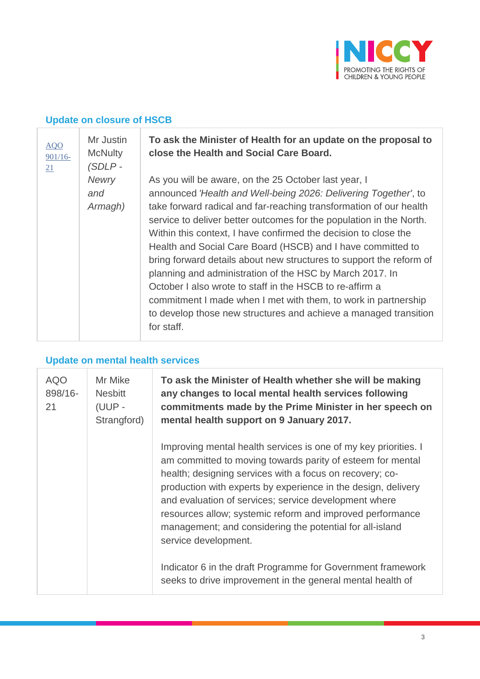

# **Update on closure of HSCB**

| AQO<br>$901/16 -$<br>21 | Mr Justin<br><b>McNulty</b><br>$(SDLP -$ | To ask the Minister of Health for an update on the proposal to<br>close the Health and Social Care Board.                                                                                                                                                                                                                                                                                                                                                                                                                                                                                                                                                                                                                                                 |
|-------------------------|------------------------------------------|-----------------------------------------------------------------------------------------------------------------------------------------------------------------------------------------------------------------------------------------------------------------------------------------------------------------------------------------------------------------------------------------------------------------------------------------------------------------------------------------------------------------------------------------------------------------------------------------------------------------------------------------------------------------------------------------------------------------------------------------------------------|
|                         | <b>Newry</b><br>and<br>Armagh)           | As you will be aware, on the 25 October last year, I<br>announced 'Health and Well-being 2026: Delivering Together', to<br>take forward radical and far-reaching transformation of our health<br>service to deliver better outcomes for the population in the North.<br>Within this context, I have confirmed the decision to close the<br>Health and Social Care Board (HSCB) and I have committed to<br>bring forward details about new structures to support the reform of<br>planning and administration of the HSC by March 2017. In<br>October I also wrote to staff in the HSCB to re-affirm a<br>commitment I made when I met with them, to work in partnership<br>to develop those new structures and achieve a managed transition<br>for staff. |

# **Update on mental health services**

| <b>AQO</b><br>898/16-<br>21 | Mr Mike<br><b>Nesbitt</b><br>(UUP -<br>Strangford) | To ask the Minister of Health whether she will be making<br>any changes to local mental health services following<br>commitments made by the Prime Minister in her speech on<br>mental health support on 9 January 2017.                                                                                                                                                                                                                                                                                                                                                                          |
|-----------------------------|----------------------------------------------------|---------------------------------------------------------------------------------------------------------------------------------------------------------------------------------------------------------------------------------------------------------------------------------------------------------------------------------------------------------------------------------------------------------------------------------------------------------------------------------------------------------------------------------------------------------------------------------------------------|
|                             |                                                    | Improving mental health services is one of my key priorities. I<br>am committed to moving towards parity of esteem for mental<br>health; designing services with a focus on recovery; co-<br>production with experts by experience in the design, delivery<br>and evaluation of services; service development where<br>resources allow; systemic reform and improved performance<br>management; and considering the potential for all-island<br>service development.<br>Indicator 6 in the draft Programme for Government framework<br>seeks to drive improvement in the general mental health of |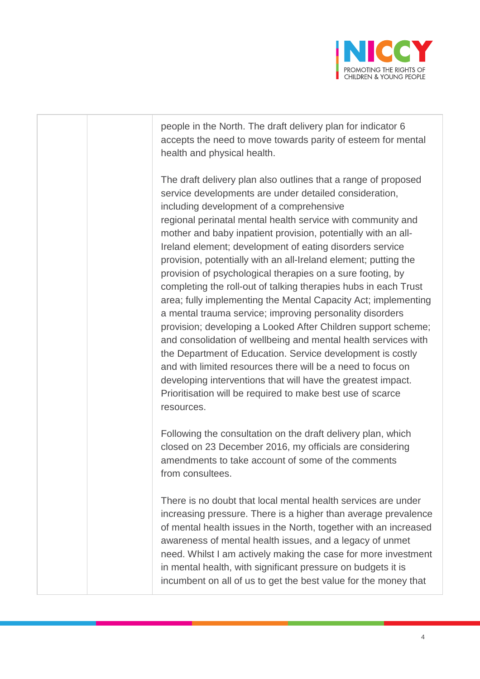

people in the North. The draft delivery plan for indicator 6 accepts the need to move towards parity of esteem for mental health and physical health.

The draft delivery plan also outlines that a range of proposed service developments are under detailed consideration, including development of a comprehensive regional perinatal mental health service with community and mother and baby inpatient provision, potentially with an all-Ireland element; development of eating disorders service provision, potentially with an all-Ireland element; putting the provision of psychological therapies on a sure footing, by completing the roll-out of talking therapies hubs in each Trust area; fully implementing the Mental Capacity Act; implementing a mental trauma service; improving personality disorders provision; developing a Looked After Children support scheme; and consolidation of wellbeing and mental health services with the Department of Education. Service development is costly and with limited resources there will be a need to focus on developing interventions that will have the greatest impact. Prioritisation will be required to make best use of scarce resources.

Following the consultation on the draft delivery plan, which closed on 23 December 2016, my officials are considering amendments to take account of some of the comments from consultees.

There is no doubt that local mental health services are under increasing pressure. There is a higher than average prevalence of mental health issues in the North, together with an increased awareness of mental health issues, and a legacy of unmet need. Whilst I am actively making the case for more investment in mental health, with significant pressure on budgets it is incumbent on all of us to get the best value for the money that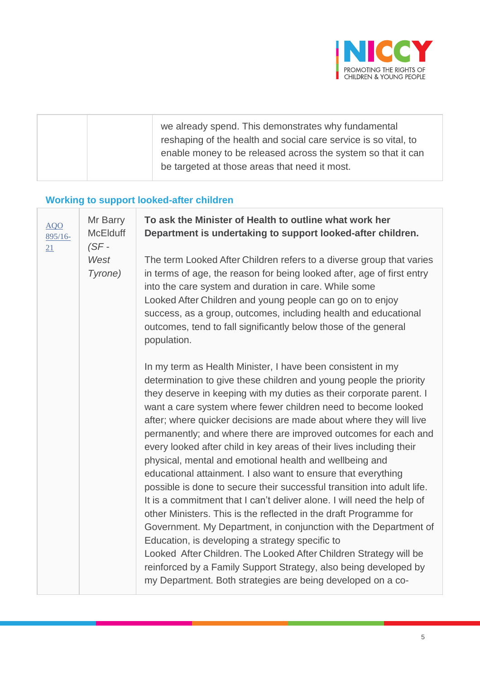

| we already spend. This demonstrates why fundamental<br>reshaping of the health and social care service is so vital, to<br>enable money to be released across the system so that it can<br>be targeted at those areas that need it most. |  |
|-----------------------------------------------------------------------------------------------------------------------------------------------------------------------------------------------------------------------------------------|--|
|                                                                                                                                                                                                                                         |  |

# **Working to support looked-after children**

| <b>AQO</b><br>$895/16-$<br>21 | Mr Barry<br><b>McElduff</b><br>$(SF -$ | To ask the Minister of Health to outline what work her<br>Department is undertaking to support looked-after children.                                                                                                                                                                                                                                                                                                                                                                                                                                                                                                                                                                                                                                                                                                                                                                                                                                                                                                                                                                                                                                                           |
|-------------------------------|----------------------------------------|---------------------------------------------------------------------------------------------------------------------------------------------------------------------------------------------------------------------------------------------------------------------------------------------------------------------------------------------------------------------------------------------------------------------------------------------------------------------------------------------------------------------------------------------------------------------------------------------------------------------------------------------------------------------------------------------------------------------------------------------------------------------------------------------------------------------------------------------------------------------------------------------------------------------------------------------------------------------------------------------------------------------------------------------------------------------------------------------------------------------------------------------------------------------------------|
|                               | West<br>Tyrone)                        | The term Looked After Children refers to a diverse group that varies<br>in terms of age, the reason for being looked after, age of first entry<br>into the care system and duration in care. While some<br>Looked After Children and young people can go on to enjoy<br>success, as a group, outcomes, including health and educational<br>outcomes, tend to fall significantly below those of the general<br>population.                                                                                                                                                                                                                                                                                                                                                                                                                                                                                                                                                                                                                                                                                                                                                       |
|                               |                                        | In my term as Health Minister, I have been consistent in my<br>determination to give these children and young people the priority<br>they deserve in keeping with my duties as their corporate parent. I<br>want a care system where fewer children need to become looked<br>after; where quicker decisions are made about where they will live<br>permanently; and where there are improved outcomes for each and<br>every looked after child in key areas of their lives including their<br>physical, mental and emotional health and wellbeing and<br>educational attainment. I also want to ensure that everything<br>possible is done to secure their successful transition into adult life.<br>It is a commitment that I can't deliver alone. I will need the help of<br>other Ministers. This is the reflected in the draft Programme for<br>Government. My Department, in conjunction with the Department of<br>Education, is developing a strategy specific to<br>Looked After Children. The Looked After Children Strategy will be<br>reinforced by a Family Support Strategy, also being developed by<br>my Department. Both strategies are being developed on a co- |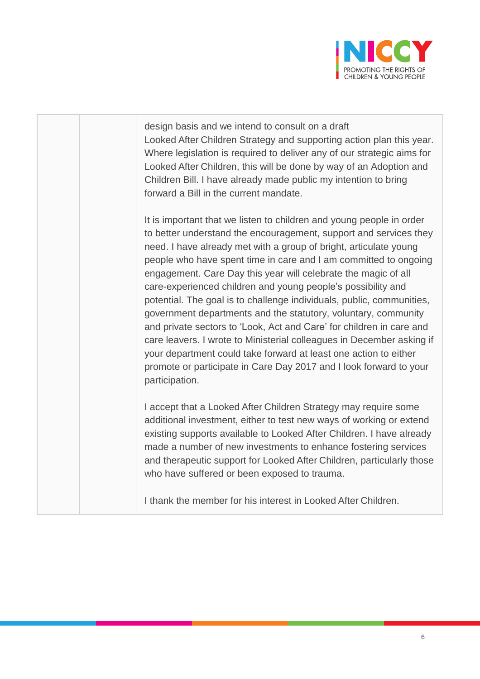

design basis and we intend to consult on a draft Looked After Children Strategy and supporting action plan this year. Where legislation is required to deliver any of our strategic aims for Looked After Children, this will be done by way of an Adoption and Children Bill. I have already made public my intention to bring forward a Bill in the current mandate.

It is important that we listen to children and young people in order to better understand the encouragement, support and services they need. I have already met with a group of bright, articulate young people who have spent time in care and I am committed to ongoing engagement. Care Day this year will celebrate the magic of all care-experienced children and young people's possibility and potential. The goal is to challenge individuals, public, communities, government departments and the statutory, voluntary, community and private sectors to 'Look, Act and Care' for children in care and care leavers. I wrote to Ministerial colleagues in December asking if your department could take forward at least one action to either promote or participate in Care Day 2017 and I look forward to your participation.

I accept that a Looked After Children Strategy may require some additional investment, either to test new ways of working or extend existing supports available to Looked After Children. I have already made a number of new investments to enhance fostering services and therapeutic support for Looked After Children, particularly those who have suffered or been exposed to trauma.

I thank the member for his interest in Looked After Children.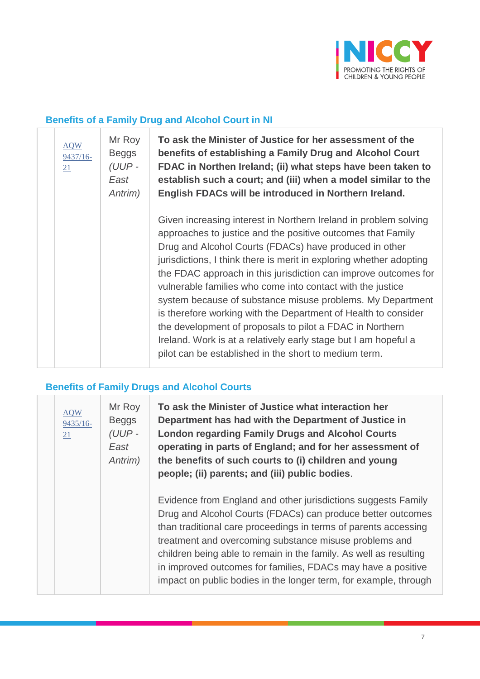

#### **Benefits of a Family Drug and Alcohol Court in NI**

| <b>AQW</b><br>$9437/16-$<br>21 | Mr Roy<br><b>Beggs</b><br>$(UUP -$<br>East<br>Antrim) | To ask the Minister of Justice for her assessment of the<br>benefits of establishing a Family Drug and Alcohol Court<br>FDAC in Northen Ireland; (ii) what steps have been taken to<br>establish such a court; and (iii) when a model similar to the<br>English FDACs will be introduced in Northern Ireland.                                                                                                                                                                                                                                                                                                                                                                                                             |
|--------------------------------|-------------------------------------------------------|---------------------------------------------------------------------------------------------------------------------------------------------------------------------------------------------------------------------------------------------------------------------------------------------------------------------------------------------------------------------------------------------------------------------------------------------------------------------------------------------------------------------------------------------------------------------------------------------------------------------------------------------------------------------------------------------------------------------------|
|                                |                                                       | Given increasing interest in Northern Ireland in problem solving<br>approaches to justice and the positive outcomes that Family<br>Drug and Alcohol Courts (FDACs) have produced in other<br>jurisdictions, I think there is merit in exploring whether adopting<br>the FDAC approach in this jurisdiction can improve outcomes for<br>vulnerable families who come into contact with the justice<br>system because of substance misuse problems. My Department<br>is therefore working with the Department of Health to consider<br>the development of proposals to pilot a FDAC in Northern<br>Ireland. Work is at a relatively early stage but I am hopeful a<br>pilot can be established in the short to medium term. |

# **Benefits of Family Drugs and Alcohol Courts**

| <b>AQW</b><br>$9435/16-$<br>21 | Mr Roy<br><b>Beggs</b><br>(UUP-<br>East<br>Antrim) | To ask the Minister of Justice what interaction her<br>Department has had with the Department of Justice in<br><b>London regarding Family Drugs and Alcohol Courts</b><br>operating in parts of England; and for her assessment of<br>the benefits of such courts to (i) children and young<br>people; (ii) parents; and (iii) public bodies.                                                                                                                      |
|--------------------------------|----------------------------------------------------|--------------------------------------------------------------------------------------------------------------------------------------------------------------------------------------------------------------------------------------------------------------------------------------------------------------------------------------------------------------------------------------------------------------------------------------------------------------------|
|                                |                                                    | Evidence from England and other jurisdictions suggests Family<br>Drug and Alcohol Courts (FDACs) can produce better outcomes<br>than traditional care proceedings in terms of parents accessing<br>treatment and overcoming substance misuse problems and<br>children being able to remain in the family. As well as resulting<br>in improved outcomes for families, FDACs may have a positive<br>impact on public bodies in the longer term, for example, through |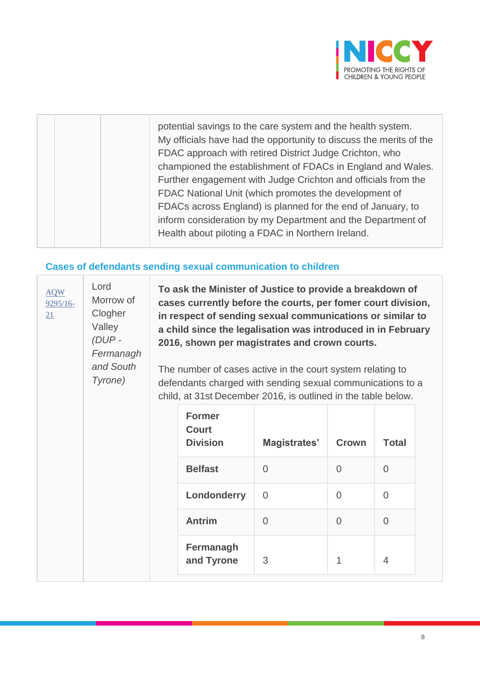

|  | potential savings to the care system and the health system.<br>My officials have had the opportunity to discuss the merits of the<br>FDAC approach with retired District Judge Crichton, who<br>championed the establishment of FDACs in England and Wales.<br>Further engagement with Judge Crichton and officials from the<br>FDAC National Unit (which promotes the development of<br>FDACs across England) is planned for the end of January, to<br>inform consideration by my Department and the Department of<br>Health about piloting a FDAC in Northern Ireland. |
|--|--------------------------------------------------------------------------------------------------------------------------------------------------------------------------------------------------------------------------------------------------------------------------------------------------------------------------------------------------------------------------------------------------------------------------------------------------------------------------------------------------------------------------------------------------------------------------|
|  |                                                                                                                                                                                                                                                                                                                                                                                                                                                                                                                                                                          |

#### **Cases of defendants sending sexual communication to children**

| <b>AQW</b><br>$9295/16-$<br>21 | Lord<br>Morrow of<br>Clogher<br>Valley<br>$(DUP -$<br>Fermanagh<br>and South<br>Tyrone) |  | To ask the Minister of Justice to provide a breakdown of<br>cases currently before the courts, per fomer court division,<br>in respect of sending sexual communications or similar to<br>a child since the legalisation was introduced in in February<br>2016, shown per magistrates and crown courts.<br>The number of cases active in the court system relating to<br>defendants charged with sending sexual communications to a<br>child, at 31st December 2016, is outlined in the table below. |                |                |                |  |  |
|--------------------------------|-----------------------------------------------------------------------------------------|--|-----------------------------------------------------------------------------------------------------------------------------------------------------------------------------------------------------------------------------------------------------------------------------------------------------------------------------------------------------------------------------------------------------------------------------------------------------------------------------------------------------|----------------|----------------|----------------|--|--|
|                                |                                                                                         |  | <b>Former</b><br><b>Court</b><br><b>Division</b>                                                                                                                                                                                                                                                                                                                                                                                                                                                    | Magistrates'   | <b>Crown</b>   | <b>Total</b>   |  |  |
|                                |                                                                                         |  | <b>Belfast</b>                                                                                                                                                                                                                                                                                                                                                                                                                                                                                      | $\overline{0}$ | $\overline{0}$ | $\overline{0}$ |  |  |
|                                |                                                                                         |  | Londonderry                                                                                                                                                                                                                                                                                                                                                                                                                                                                                         | $\overline{0}$ | $\overline{0}$ | $\Omega$       |  |  |
|                                |                                                                                         |  | <b>Antrim</b>                                                                                                                                                                                                                                                                                                                                                                                                                                                                                       | $\overline{0}$ | $\overline{0}$ | $\Omega$       |  |  |
|                                |                                                                                         |  | Fermanagh<br>and Tyrone                                                                                                                                                                                                                                                                                                                                                                                                                                                                             | 3              | 1              | $\overline{4}$ |  |  |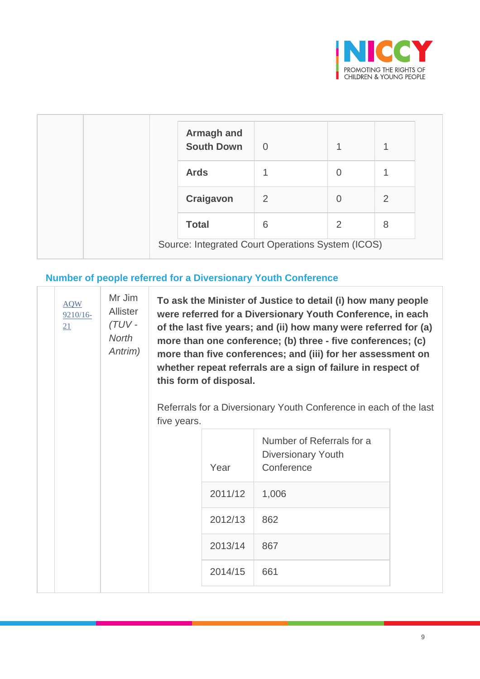

| <b>Armagh and</b><br><b>South Down</b>            | $\overline{0}$ |   |   |
|---------------------------------------------------|----------------|---|---|
| <b>Ards</b>                                       |                | 0 |   |
| Craigavon                                         | 2              | O | 2 |
| <b>Total</b>                                      | 6              | 2 | 8 |
| Source: Integrated Court Operations System (ICOS) |                |   |   |

# **Number of people referred for a Diversionary Youth Conference**

 $\begin{array}{c} \hline \end{array}$ 

T

| <b>AQW</b><br>$9210/16-$<br>21 | Mr Jim<br>Allister<br>$(TUV -$<br>North<br>Antrim) | To ask the Minister of Justice to detail (i) how many people<br>were referred for a Diversionary Youth Conference, in each<br>of the last five years; and (ii) how many were referred for (a)<br>more than one conference; (b) three - five conferences; (c)<br>more than five conferences; and (iii) for her assessment on<br>whether repeat referrals are a sign of failure in respect of<br>this form of disposal.<br>Referrals for a Diversionary Youth Conference in each of the last<br>five years. |         |                                                                      |  |  |  |
|--------------------------------|----------------------------------------------------|-----------------------------------------------------------------------------------------------------------------------------------------------------------------------------------------------------------------------------------------------------------------------------------------------------------------------------------------------------------------------------------------------------------------------------------------------------------------------------------------------------------|---------|----------------------------------------------------------------------|--|--|--|
|                                |                                                    |                                                                                                                                                                                                                                                                                                                                                                                                                                                                                                           | Year    | Number of Referrals for a<br><b>Diversionary Youth</b><br>Conference |  |  |  |
|                                |                                                    |                                                                                                                                                                                                                                                                                                                                                                                                                                                                                                           | 2011/12 | 1,006                                                                |  |  |  |
|                                |                                                    |                                                                                                                                                                                                                                                                                                                                                                                                                                                                                                           | 2012/13 | 862                                                                  |  |  |  |
|                                |                                                    |                                                                                                                                                                                                                                                                                                                                                                                                                                                                                                           | 2013/14 | 867                                                                  |  |  |  |
|                                |                                                    |                                                                                                                                                                                                                                                                                                                                                                                                                                                                                                           | 2014/15 | 661                                                                  |  |  |  |
|                                |                                                    |                                                                                                                                                                                                                                                                                                                                                                                                                                                                                                           |         |                                                                      |  |  |  |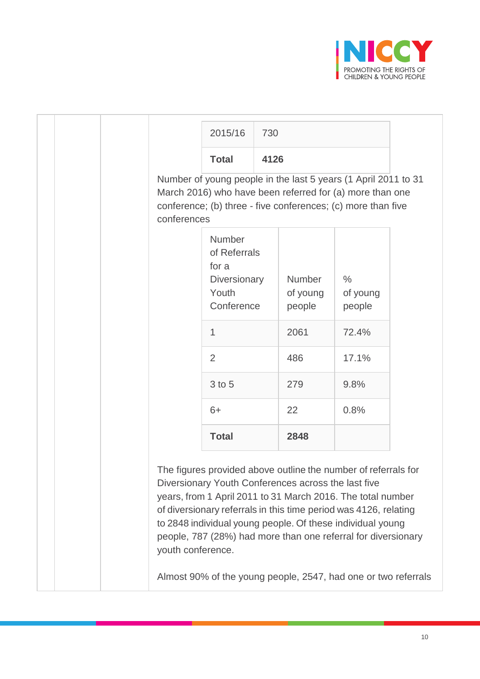

|                                                                                                                                                                                                           | 2015/16                                                                       | 730  |                                                     |                                                                                                                                                                                                                                                                                                                                                                                                    |  |  |
|-----------------------------------------------------------------------------------------------------------------------------------------------------------------------------------------------------------|-------------------------------------------------------------------------------|------|-----------------------------------------------------|----------------------------------------------------------------------------------------------------------------------------------------------------------------------------------------------------------------------------------------------------------------------------------------------------------------------------------------------------------------------------------------------------|--|--|
|                                                                                                                                                                                                           | <b>Total</b>                                                                  | 4126 |                                                     |                                                                                                                                                                                                                                                                                                                                                                                                    |  |  |
| Number of young people in the last 5 years (1 April 2011 to 31<br>March 2016) who have been referred for (a) more than one<br>conference; (b) three - five conferences; (c) more than five<br>conferences |                                                                               |      |                                                     |                                                                                                                                                                                                                                                                                                                                                                                                    |  |  |
|                                                                                                                                                                                                           | Number<br>of Referrals<br>for a<br><b>Diversionary</b><br>Youth<br>Conference |      | <b>Number</b><br>of young<br>people                 | $\frac{0}{0}$<br>of young<br>people                                                                                                                                                                                                                                                                                                                                                                |  |  |
|                                                                                                                                                                                                           | $\mathbf{1}$                                                                  |      | 2061                                                | 72.4%                                                                                                                                                                                                                                                                                                                                                                                              |  |  |
|                                                                                                                                                                                                           | $\overline{2}$<br>3 to 5                                                      |      | 486                                                 | 17.1%                                                                                                                                                                                                                                                                                                                                                                                              |  |  |
|                                                                                                                                                                                                           |                                                                               |      | 279                                                 | 9.8%                                                                                                                                                                                                                                                                                                                                                                                               |  |  |
|                                                                                                                                                                                                           | $6+$                                                                          |      | 22                                                  | 0.8%                                                                                                                                                                                                                                                                                                                                                                                               |  |  |
|                                                                                                                                                                                                           | <b>Total</b>                                                                  |      | 2848                                                |                                                                                                                                                                                                                                                                                                                                                                                                    |  |  |
| youth conference.                                                                                                                                                                                         |                                                                               |      | Diversionary Youth Conferences across the last five | The figures provided above outline the number of referrals for<br>years, from 1 April 2011 to 31 March 2016. The total number<br>of diversionary referrals in this time period was 4126, relating<br>to 2848 individual young people. Of these individual young<br>people, 787 (28%) had more than one referral for diversionary<br>Almost 90% of the young people, 2547, had one or two referrals |  |  |